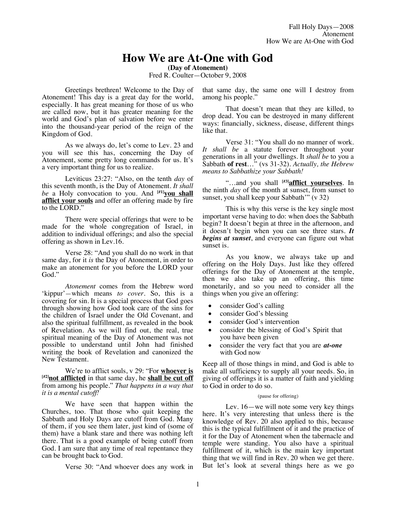# **How We are At-One with God**

**(Day of Atonement)**

Fred R. Coulter—October 9, 2008

Greetings brethren! Welcome to the Day of Atonement! This day is a great day for the world, especially. It has great meaning for those of us who are called now, but it has greater meaning for the world and God's plan of salvation before we enter into the thousand-year period of the reign of the Kingdom of God.

As we always do, let's come to Lev. 23 and you will see this has, concerning the Day of Atonement, some pretty long commands for us. It's a very important thing for us to realize.

Leviticus 23:27: "Also, on the tenth *day* of this seventh month, is the Day of Atonement. *It shall be* a Holy convocation to you. And <sup>[#1]</sup>you shall **afflict your souls** and offer an offering made by fire to the LORD."

There were special offerings that were to be made for the whole congregation of Israel, in addition to individual offerings; and also the special offering as shown in Lev.16.

Verse 28: "And you shall do no work in that same day, for it *is* the Day of Atonement, in order to make an atonement for you before the LORD your God."

*Atonement* comes from the Hebrew word 'kippur'*—*which means *to cover.* So, this is a covering for sin. It is a special process that God goes through showing how God took care of the sins for the children of Israel under the Old Covenant, and also the spiritual fulfillment, as revealed in the book of Revelation. As we will find out, the real, true spiritual meaning of the Day of Atonement was not possible to understand until John had finished writing the book of Revelation and canonized the New Testament.

We're to afflict souls, v 29: "For **whoever is [#2]not afflicted** in that same day, he **shall be cut off** from among his people." *That happens in a way that it is a mental cutoff!* 

We have seen that happen within the Churches, too. That those who quit keeping the Sabbath and Holy Days are cutoff from God. Many of them, if you see them later, just kind of (some of them) have a blank stare and there was nothing left there. That is a good example of being cutoff from God. I am sure that any time of real repentance they can be brought back to God.

Verse 30: "And whoever does any work in

that same day, the same one will I destroy from among his people."

That doesn't mean that they are killed, to drop dead. You can be destroyed in many different ways: financially, sickness, disease, different things like that.

Verse 31: "You shall do no manner of work. *It shall be* a statute forever throughout your generations in all your dwellings. It *shall be* to you a Sabbath **of rest**…" (vs 31-32). *Actually, the Hebrew means to Sabbathize your Sabbath!*

"...and you shall [#3]**afflict yourselves**. In the ninth *day* of the month at sunset, from sunset to sunset, you shall keep your Sabbath'" (v 32)

This is why this verse is the key single most important verse having to do: when does the Sabbath begin? It doesn't begin at three in the afternoon, and it doesn't begin when you can see three stars. *It begins at sunset*, and everyone can figure out what sunset is.

As you know, we always take up and offering on the Holy Days. Just like they offered offerings for the Day of Atonement at the temple, then we also take up an offering, this time monetarily, and so you need to consider all the things when you give an offering:

- consider God's calling
- consider God's blessing
- consider God's intervention
- consider the blessing of God's Spirit that you have been given
- consider the very fact that you are *at-one* with God now

Keep all of those things in mind, and God is able to make all sufficiency to supply all your needs. So, in giving of offerings it is a matter of faith and yielding to God in order to do so.

#### (pause for offering)

Lev. 16—we will note some very key things here. It's very interesting that unless there is the knowledge of Rev. 20 also applied to this, because this is the typical fulfillment of it and the practice of it for the Day of Atonement when the tabernacle and temple were standing. You also have a spiritual fulfillment of it, which is the main key important thing that we will find in Rev. 20 when we get there. But let's look at several things here as we go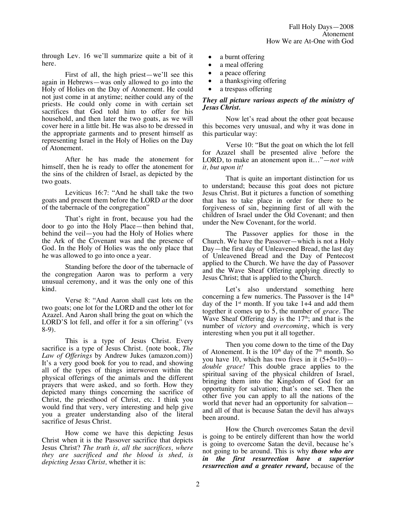through Lev. 16 we'll summarize quite a bit of it here.

First of all, the high priest—we'll see this again in Hebrews—was only allowed to go into the Holy of Holies on the Day of Atonement. He could not just come in at anytime; neither could any of the priests. He could only come in with certain set sacrifices that God told him to offer for his household, and then later the two goats, as we will cover here in a little bit. He was also to be dressed in the appropriate garments and to present himself as representing Israel in the Holy of Holies on the Day of Atonement.

After he has made the atonement for himself, then he is ready to offer the atonement for the sins of the children of Israel, as depicted by the two goats.

Leviticus 16:7: "And he shall take the two goats and present them before the LORD *at* the door of the tabernacle of the congregation"

That's right in front, because you had the door to go into the Holy Place—then behind that, behind the veil—you had the Holy of Holies where the Ark of the Covenant was and the presence of God. In the Holy of Holies was the only place that he was allowed to go into once a year.

Standing before the door of the tabernacle of the congregation Aaron was to perform a very unusual ceremony, and it was the only one of this kind.

Verse 8: "And Aaron shall cast lots on the two goats; one lot for the LORD and the other lot for Azazel. And Aaron shall bring the goat on which the LORD'S lot fell, and offer it for a sin offering" (vs 8-9).

This is a type of Jesus Christ. Every sacrifice is a type of Jesus Christ. {note book, *The Law of Offerings* by Andrew Jukes (amazon.com)} It's a very good book for you to read, and showing all of the types of things interwoven within the physical offerings of the animals and the different prayers that were asked, and so forth. How they depicted many things concerning the sacrifice of Christ, the priesthood of Christ, etc. I think you would find that very, very interesting and help give you a greater understanding also of the literal sacrifice of Jesus Christ.

How come we have this depicting Jesus Christ when it is the Passover sacrifice that depicts Jesus Christ? *The truth is, all the sacrifices, where they are sacrificed and the blood is shed, is depicting Jesus Christ,* whether it is:

- a burnt offering
- a meal offering
- a peace offering
- a thanksgiving offering
- a trespass offering

## *They all picture various aspects of the ministry of Jesus Christ.*

Now let's read about the other goat because this becomes very unusual, and why it was done in this particular way:

Verse 10: "But the goat on which the lot fell for Azazel shall be presented alive before the LORD, to make an atonement upon it…"—*not with it, but upon it!*

That is quite an important distinction for us to understand; because this goat does not picture Jesus Christ. But it pictures a function of something that has to take place in order for there to be forgiveness of sin, beginning first of all with the children of Israel under the Old Covenant; and then under the New Covenant, for the world.

The Passover applies for those in the Church. We have the Passover—which is not a Holy Day—the first day of Unleavened Bread, the last day of Unleavened Bread and the Day of Pentecost applied to the Church. We have the day of Passover and the Wave Sheaf Offering applying directly to Jesus Christ; that is applied to the Church.

Let's also understand something here concerning a few numerics. The Passover is the  $14<sup>th</sup>$ day of the  $1<sup>st</sup>$  month. If you take  $1+4$  and add them together it comes up to 5, the number of *grace.* The Wave Sheaf Offering day is the  $17<sup>th</sup>$ ; and that is the number of *victory* and *overcoming*, which is very interesting when you put it all together.

Then you come down to the time of the Day of Atonement. It is the  $10<sup>th</sup>$  day of the  $7<sup>th</sup>$  month. So you have 10, which has two fives in it  $(5+5=10)$  *double grace!* This double grace applies to the spiritual saving of the physical children of Israel, bringing them into the Kingdom of God for an opportunity for salvation; that's one set. Then the other five you can apply to all the nations of the world that never had an opportunity for salvation and all of that is because Satan the devil has always been around.

How the Church overcomes Satan the devil is going to be entirely different than how the world is going to overcome Satan the devil, because he's not going to be around. This is why *those who are in the first resurrection have a superior resurrection and a greater reward,* because of the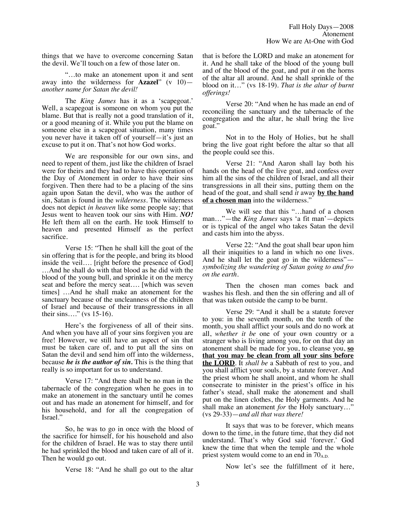things that we have to overcome concerning Satan the devil. We'll touch on a few of those later on.

"…to make an atonement upon it and sent away into the wilderness for **Azazel**" (v 10) *another name for Satan the devil!*

The *King James* has it as a 'scapegoat.' Well, a scapegoat is someone on whom you put the blame. But that is really not a good translation of it, or a good meaning of it. While you put the blame on someone else in a scapegoat situation, many times you never have it taken off of yourself—it's just an excuse to put it on. That's not how God works.

We are responsible for our own sins, and need to repent of them, just like the children of Israel were for theirs and they had to have this operation of the Day of Atonement in order to have their sins forgiven. Then there had to be a placing of the sins again upon Satan the devil, who was the author of sin, Satan is found in the *wilderness*. The wilderness does not depict *in heaven* like some people say; that Jesus went to heaven took our sins with Him. *NO!* He left them all on the earth. He took Himself to heaven and presented Himself as the perfect sacrifice.

Verse 15: "Then he shall kill the goat of the sin offering that is for the people, and bring its blood inside the veil…. [right before the presence of God] …And he shall do with that blood as he did with the blood of the young bull, and sprinkle it on the mercy seat and before the mercy seat…. [which was seven times] …And he shall make an atonement for the sanctuary because of the uncleanness of the children of Israel and because of their transgressions in all their sins…." (vs 15-16).

Here's the forgiveness of all of their sins. And when you have all of your sins forgiven you are free! However, we still have an aspect of sin that must be taken care of, and to put all the sins on Satan the devil and send him off into the wilderness, because *he is the author of sin.* This is the thing that really is so important for us to understand.

Verse 17: "And there shall be no man in the tabernacle of the congregation when he goes in to make an atonement in the sanctuary until he comes out and has made an atonement for himself, and for his household, and for all the congregation of Israel."

So, he was to go in once with the blood of the sacrifice for himself, for his household and also for the children of Israel. He was to stay there until he had sprinkled the blood and taken care of all of it. Then he would go out.

Verse 18: "And he shall go out to the altar

that is before the LORD and make an atonement for it. And he shall take of the blood of the young bull and of the blood of the goat, and put *it* on the horns of the altar all around. And he shall sprinkle of the blood on it…" (vs 18-19). *That is the altar of burnt offerings!* 

Verse 20: "And when he has made an end of reconciling the sanctuary and the tabernacle of the congregation and the altar, he shall bring the live goat."

Not in to the Holy of Holies, but he shall bring the live goat right before the altar so that all the people could see this.

Verse 21: "And Aaron shall lay both his hands on the head of the live goat, and confess over him all the sins of the children of Israel, and all their transgressions in all their sins, putting them on the head of the goat, and shall send *it* away **by the hand of a chosen man** into the wilderness."

We will see that this "…hand of a chosen man…"—the *King James* says 'a fit man'—depicts or is typical of the angel who takes Satan the devil and casts him into the abyss.

Verse 22: "And the goat shall bear upon him all their iniquities to a land in which no one lives. And he shall let the goat go in the wilderness" *symbolizing the wandering of Satan going to and fro on the earth.*

Then the chosen man comes back and washes his flesh. and then the sin offering and all of that was taken outside the camp to be burnt.

Verse 29: "And it shall be a statute forever to you: in the seventh month, on the tenth of the month, you shall afflict your souls and do no work at all, *whether it be* one of your own country or a stranger who is living among you, for on that day an atonement shall be made for you, to cleanse you, **so that you may be clean from all your sins before the LORD**. It *shall be* a Sabbath of rest to you, and you shall afflict your souls, by a statute forever. And the priest whom he shall anoint, and whom he shall consecrate to minister in the priest's office in his father's stead, shall make the atonement and shall put on the linen clothes, the Holy garments. And he shall make an atonement *for* the Holy sanctuary…" (vs 29-33)—*and all that was there!*

It says that was to be forever, which means down to the time, in the future time, that they did not understand. That's why God said 'forever.' God knew the time that when the temple and the whole priest system would come to an end in  $70_{A.D.}$ 

Now let's see the fulfillment of it here,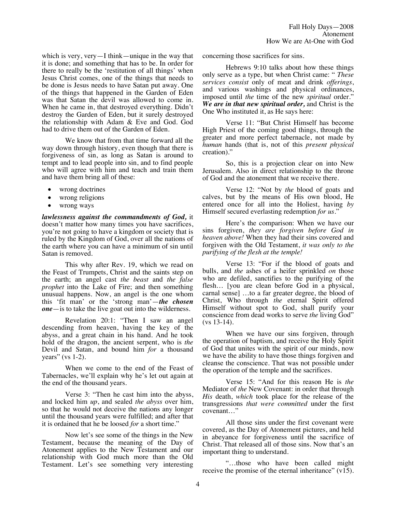which is very, very—I think—unique in the way that it is done; and something that has to be. In order for there to really be the 'restitution of all things' when Jesus Christ comes, one of the things that needs to be done is Jesus needs to have Satan put away. One of the things that happened in the Garden of Eden was that Satan the devil was allowed to come in. When he came in, that destroyed everything. Didn't destroy the Garden of Eden, but it surely destroyed the relationship with Adam & Eve and God. God had to drive them out of the Garden of Eden.

We know that from that time forward all the way down through history, even though that there is forgiveness of sin, as long as Satan is around to tempt and to lead people into sin, and to find people who will agree with him and teach and train them and have them bring all of these:

- wrong doctrines
- wrong religions
- wrong ways

*lawlessness against the commandments of God,* it doesn't matter how many times you have sacrifices, you're not going to have a kingdom or society that is ruled by the Kingdom of God, over all the nations of the earth where you can have a minimum of sin until Satan is removed.

This why after Rev. 19, which we read on the Feast of Trumpets, Christ and the saints step on the earth; an angel cast *the beast* and *the false prophet* into the Lake of Fire; and then something unusual happens. Now, an angel is the one whom this 'fit man' or the 'strong man'—*the chosen one*—is to take the live goat out into the wilderness.

Revelation 20:1: "Then I saw an angel descending from heaven, having the key of the abyss, and a great chain in his hand. And he took hold of the dragon, the ancient serpent, who is *the* Devil and Satan, and bound him *for* a thousand years" (vs  $1-2$ ).

When we come to the end of the Feast of Tabernacles, we'll explain why he's let out again at the end of the thousand years.

Verse 3: "Then he cast him into the abyss, and locked him *up*, and sealed *the abyss* over him, so that he would not deceive the nations any longer until the thousand years were fulfilled; and after that it is ordained that he be loosed *for* a short time."

Now let's see some of the things in the New Testament, because the meaning of the Day of Atonement applies to the New Testament and our relationship with God much more than the Old Testament. Let's see something very interesting concerning those sacrifices for sins.

Hebrews 9:10 talks about how these things only serve as a type, but when Christ came: " *These services consist* only of meat and drink *offerings*, and various washings and physical ordinances, imposed until *the* time of the new *spiritual* order." *We are in that new spiritual order,* and Christ is the One Who instituted it, as He says here:

Verse 11: "But Christ Himself has become High Priest of the coming good things, through the greater and more perfect tabernacle, not made by *human* hands (that is, not of this *present physical* creation)."

So, this is a projection clear on into New Jerusalem. Also in direct relationship to the throne of God and the atonement that we receive there.

Verse 12: "Not by *the* blood of goats and calves, but by the means of His own blood, He entered once for all into the Holiest, having *by* Himself secured everlasting redemption *for us*."

Here's the comparison: When we have our sins forgiven, *they are forgiven before God in heaven above!* When they had their sins covered and forgiven with the Old Testament, *it was only to the purifying of the flesh at the temple!*

Verse 13: "For if the blood of goats and bulls, and *the* ashes of a heifer sprinkled *on* those who are defiled, sanctifies to the purifying of the flesh… [you are clean before God in a physical, carnal sense] …to a far greater degree, the blood of Christ, Who through *the* eternal Spirit offered Himself without spot to God, shall purify your conscience from dead works to serve *the* living God" (vs 13-14).

When we have our sins forgiven, through the operation of baptism, and receive the Holy Spirit of God that unites with the spirit of our minds, now we have the ability to have those things forgiven and cleanse the conscience. That was not possible under the operation of the temple and the sacrifices.

Verse 15: "And for this reason He is *the* Mediator of *the* New Covenant: in order that through *His* death, *which* took place for the release of the transgressions *that were committed* under the first covenant…"

All those sins under the first covenant were covered, as the Day of Atonement pictures, and held in abeyance for forgiveness until the sacrifice of Christ. That released all of those sins. Now that's an important thing to understand.

"…those who have been called might receive the promise of the eternal inheritance" (v15).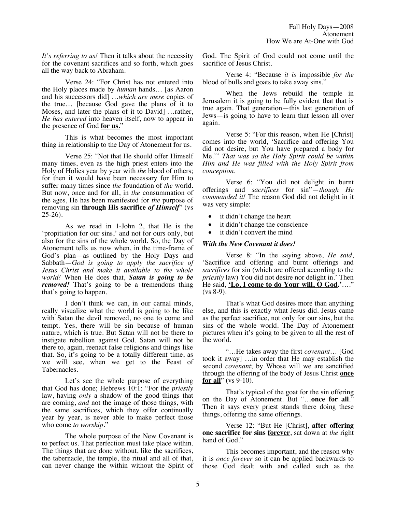*It's referring to us!* Then it talks about the necessity for the covenant sacrifices and so forth, which goes all the way back to Abraham.

Verse 24: "For Christ has not entered into the Holy places made by *human* hands… [as Aaron and his successors did] …*which are mere* copies of the true… [because God gave the plans of it to Moses, and later the plans of it to David] …rather, *He has entered* into heaven itself, now to appear in the presence of God **for us.**"

This is what becomes the most important thing in relationship to the Day of Atonement for us.

Verse 25: "Not that He should offer Himself many times, even as the high priest enters into the Holy of Holies year by year with *the* blood of others; for then it would have been necessary for Him to suffer many times since *the* foundation of *the* world. But now, once and for all, in *the* consummation of the ages, He has been manifested for *the* purpose of removing sin **through His sacrifice** *of Himself*" (vs  $25-26$ ).

As we read in 1-John 2, that He is the 'propitiation for our sins,' and not for ours only, but also for the sins of the whole world. So, the Day of Atonement tells us now when, in the time-frame of God's plan—as outlined by the Holy Days and Sabbath—*God is going to apply the sacrifice of Jesus Christ and make it available to the whole world!* When He does that, *Satan is going to be removed!* That's going to be a tremendous thing that's going to happen.

I don't think we can, in our carnal minds, really visualize what the world is going to be like with Satan the devil removed, no one to come and tempt. Yes, there will be sin because of human nature, which is true. But Satan will not be there to instigate rebellion against God. Satan will not be there to, again, reenact false religions and things like that. So, it's going to be a totally different time, as we will see, when we get to the Feast of Tabernacles.

Let's see the whole purpose of everything that God has done; Hebrews 10:1: "For the *priestly* law, having *only* a shadow of the good things that are coming, *and* not the image of those things, with the same sacrifices, which they offer continually year by year, is never able to make perfect those who come *to worship*."

The whole purpose of the New Covenant is to perfect us. That perfection must take place within. The things that are done without, like the sacrifices, the tabernacle, the temple, the ritual and all of that, can never change the within without the Spirit of God. The Spirit of God could not come until the sacrifice of Jesus Christ.

Verse 4: "Because *it is* impossible *for the* blood of bulls and goats to take away sins."

When the Jews rebuild the temple in Jerusalem it is going to be fully evident that that is true again. That generation—this last generation of Jews—is going to have to learn that lesson all over again.

Verse 5: "For this reason, when He [Christ] comes into the world, 'Sacrifice and offering You did not desire, but You have prepared a body for Me.'" *That was so the Holy Spirit could be within Him and He was filled with the Holy Spirit from conception.*

Verse 6: "You did not delight in burnt offerings and *sacrifices* for sin"—*though He commanded it!* The reason God did not delight in it was very simple:

- it didn't change the heart
- it didn't change the conscience
- it didn't convert the mind

#### *With the New Covenant it does!*

Verse 8: "In the saying above, *He said*, 'Sacrifice and offering and burnt offerings and *sacrifices* for sin (which are offered according to the *priestly* law) You did not desire nor delight in.' Then He said, **'Lo, I come to do Your will, O God.'**…."  $(vs 8-9)$ .

That's what God desires more than anything else, and this is exactly what Jesus did. Jesus came as the perfect sacrifice, not only for our sins, but the sins of the whole world. The Day of Atonement pictures when it's going to be given to all the rest of the world.

"…He takes away the first *covenant*… [God took it away] …in order that He may establish the second *covenant*; by Whose will we are sanctified through the offering of the body of Jesus Christ **once for all**" (vs 9-10).

That's typical of the goat for the sin offering on the Day of Atonement. But "…**once for all**." Then it says every priest stands there doing these things, offering the same offerings.

Verse 12: "But He [Christ], **after offering one sacrifice for sins forever**, sat down at *the* right hand of God."

This becomes important, and the reason why it is *once forever* so it can be applied backwards to those God dealt with and called such as the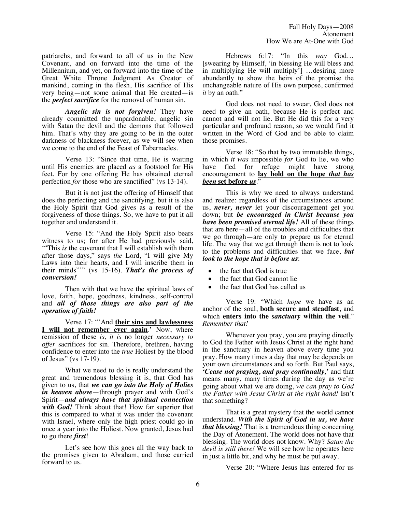patriarchs, and forward to all of us in the New Covenant, and on forward into the time of the Millennium, and yet, on forward into the time of the Great White Throne Judgment As Creator of mankind, coming in the flesh, His sacrifice of His very being—not some animal that He created—is the *perfect sacrifice* for the removal of human sin.

*Angelic sin is not forgiven!* They have already committed the unpardonable, angelic sin with Satan the devil and the demons that followed him. That's why they are going to be in the outer darkness of blackness forever, as we will see when we come to the end of the Feast of Tabernacles.

Verse 13: "Since that time, He is waiting until His enemies are placed *as* a footstool for His feet. For by one offering He has obtained eternal perfection *for* those who are sanctified" (vs 13-14).

But it is not just the offering of Himself that does the perfecting and the sanctifying, but it is also the Holy Spirit that God gives as a result of the forgiveness of those things. So, we have to put it all together and understand it.

Verse 15: "And the Holy Spirit also bears witness to us; for after He had previously said, '"This *is* the covenant that I will establish with them after those days," says *the* Lord, "I will give My Laws into their hearts, and I will inscribe them in their minds"'" (vs 15-16). *That's the process of conversion!*

Then with that we have the spiritual laws of love, faith, hope, goodness, kindness, self-control and *all of those things are also part of the operation of faith!*

Verse 17: "'And **their sins and lawlessness I will not remember ever again**.' Now, where remission of these *is*, *it is* no longer *necessary to offer* sacrifices for sin. Therefore, brethren, having confidence to enter into the *true* Holiest by the blood of Jesus" (vs 17-19).

What we need to do is really understand the great and tremendous blessing it is, that God has given to us, that *we can go into the Holy of Holies in heaven above*—through prayer and with God's Spirit—*and always have that spiritual connection with God!* Think about that! How far superior that this is compared to what it was under the covenant with Israel, where only the high priest could go in once a year into the Holiest. Now granted, Jesus had to go there *first*!

Let's see how this goes all the way back to the promises given to Abraham, and those carried forward to us.

Hebrews 6:17: "In this *way* God… [swearing by Himself, 'in blessing He will bless and in multiplying He will multiply'] …desiring more abundantly to show the heirs of the promise the unchangeable nature of His own purpose, confirmed *it* by an oath."

God does not need to swear, God does not need to give an oath, because He is perfect and cannot and will not lie. But He did this for a very particular and profound reason, so we would find it written in the Word of God and be able to claim those promises.

Verse 18: "So that by two immutable things, in which *it was* impossible *for* God to lie, we who fled for refuge might have strong encouragement to **lay hold on the hope** *that has been* **set before** *us*."

This is why we need to always understand and realize: regardless of the circumstances around us, *never, never* let your discouragement get you down; but *be encouraged in Christ because you have been promised eternal life!* All of these things that are here—all of the troubles and difficulties that we go through—are only to prepare us for eternal life. The way that we get through them is not to look to the problems and difficulties that we face, *but look to the hope that is before us*:

- the fact that God is true
- the fact that God cannot lie
- the fact that God has called us

Verse 19: "Which *hope* we have as an anchor of the soul, **both secure and steadfast**, and which **enters into the** *sanctuary* **within the veil**." *Remember that!*

Whenever you pray, you are praying directly to God the Father with Jesus Christ at the right hand in the sanctuary in heaven above every time you pray. How many times a day that may be depends on your own circumstances and so forth. But Paul says, *'Cease not praying, and pray continually,'* and that means many, many times during the day as we're going about what we are doing, *we can pray to God the Father with Jesus Christ at the right hand!* Isn't that something?

That is a great mystery that the world cannot understand. *With the Spirit of God in us, we have that blessing!* That is a tremendous thing concerning the Day of Atonement. The world does not have that blessing. The world does not know. Why? *Satan the devil is still there!* We will see how he operates here in just a little bit, and why he must be put away.

Verse 20: "Where Jesus has entered for us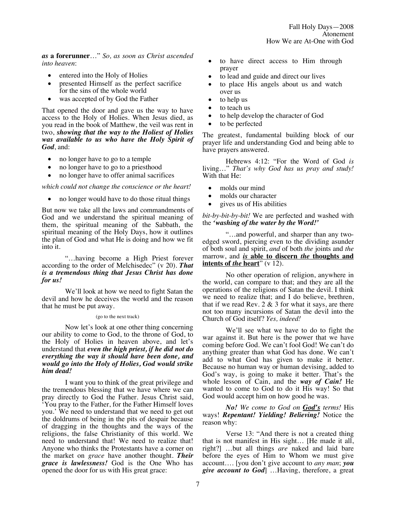*as* **a forerunner**…" *So, as soon as Christ ascended into heaven*:

- entered into the Holy of Holies
- presented Himself as the perfect sacrifice for the sins of the whole world
- was accepted of by God the Father

That opened the door and gave us the way to have access to the Holy of Holies. When Jesus died, as you read in the book of Matthew, the veil was rent in two, *showing that the way to the Holiest of Holies was available to us who have the Holy Spirit of God*, and:

- no longer have to go to a temple
- no longer have to go to a priesthood
- no longer have to offer animal sacrifices

*which could not change the conscience or the heart!*

• no longer would have to do those ritual things

But now we take all the laws and commandments of God and we understand the spiritual meaning of them, the spiritual meaning of the Sabbath, the spiritual meaning of the Holy Days, how it outlines the plan of God and what He is doing and how we fit into it.

"…having become a High Priest forever according to the order of Melchisedec" (v 20). *That is a tremendous thing that Jesus Christ has done for us!*

We'll look at how we need to fight Satan the devil and how he deceives the world and the reason that he must be put away.

#### (go to the next track)

Now let's look at one other thing concerning our ability to come to God, to the throne of God, to the Holy of Holies in heaven above, and let's understand that *even the high priest, if he did not do everything the way it should have been done, and would go into the Holy of Holies, God would strike him dead!*

I want you to think of the great privilege and the tremendous blessing that we have where we can pray directly to God the Father. Jesus Christ said, 'You pray to the Father, for the Father Himself loves you.' We need to understand that we need to get out the doldrums of being in the pits of despair because of dragging in the thoughts and the ways of the religions, the false Christianity of this world. We need to understand that! We need to realize that! Anyone who thinks the Protestants have a corner on the market on *grace* have another thought. *Their grace is lawlessness!* God is the One Who has opened the door for us with His great grace:

- to have direct access to Him through prayer
- to lead and guide and direct our lives
- to place His angels about us and watch over us
- to help us
- to teach us
- to help develop the character of God
- to be perfected

The greatest, fundamental building block of our prayer life and understanding God and being able to have prayers answered.

Hebrews 4:12: "For the Word of God *is* living…" *That's why God has us pray and study!* With that He:

- molds our mind
- molds our character
- gives us of His abilities

*bit-by-bit-by-bit!* We are perfected and washed with the *'washing of the water by the Word!'*

"…and powerful, and sharper than any twoedged sword, piercing even to the dividing asunder of both soul and spirit, *and* of both *the* joints and *the* marrow, and *is* **able to discern** *the* **thoughts and intents of** *the* **heart**" (v 12).

No other operation of religion, anywhere in the world, can compare to that; and they are all the operations of the religions of Satan the devil. I think we need to realize that; and I do believe, brethren, that if we read Rev.  $2 \& 3$  for what it says, are there not too many incursions of Satan the devil into the Church of God itself? *Yes, indeed!*

We'll see what we have to do to fight the war against it. But here is the power that we have coming before God. We can't fool God! We can't do anything greater than what God has done. We can't add to what God has given to make it better. Because no human way or human devising, added to God's way, is going to make it better. That's the whole lesson of Cain, and the *way of Cain!* He wanted to come to God to do it His way! So that God would accept him on how good he was.

*No! We come to God on God's terms!* His ways! *Repentant! Yielding! Believing!* Notice the reason why:

Verse 13: "And there is not a created thing that is not manifest in His sight… [He made it all, right?] …but all things *are* naked and laid bare before the eyes of Him to Whom we must give account…. [you don't give account to *any man*; *you give account to God*] …Having, therefore, a great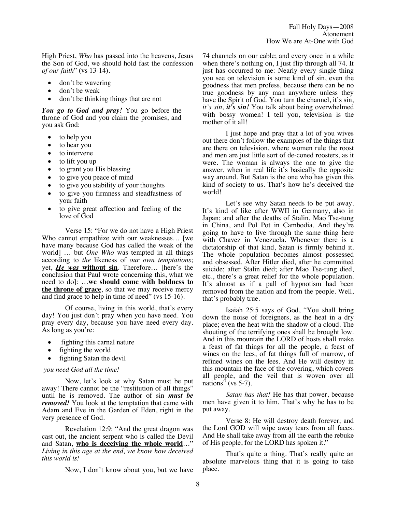High Priest, *Who* has passed into the heavens, Jesus the Son of God, we should hold fast the confession *of our faith*" (vs 13-14).

- don't be wavering
- don't be weak
- don't be thinking things that are not

*You go to God and pray!* You go before the throne of God and you claim the promises, and you ask God:

- to help you
- to hear you
- to intervene
- to lift you up
- to grant you His blessing
- to give you peace of mind
- to give you stability of your thoughts
- to give you firmness and steadfastness of your faith
- to give great affection and feeling of the love of God

Verse 15: "For we do not have a High Priest Who cannot empathize with our weaknesses… [we have many because God has called the weak of the world] … but *One Who* was tempted in all things according to *the* likeness of *our own temptations*; yet, *He was* **without sin**. Therefore… [here's the conclusion that Paul wrote concerning this, what we need to do]: …**we should come with boldness to the throne of grace**, so that we may receive mercy and find grace to help in time of need" (vs 15-16).

Of course, living in this world, that's every day! You just don't pray when you have need. You pray every day, because you have need every day. As long as you're:

- fighting this carnal nature
- fighting the world
- fighting Satan the devil

### *you need God all the time!*

Now, let's look at why Satan must be put away! There cannot be the "restitution of all things" until he is removed. The author of sin *must be removed!* You look at the temptation that came with Adam and Eve in the Garden of Eden, right in the very presence of God.

Revelation 12:9: "And the great dragon was cast out, the ancient serpent who is called the Devil and Satan, **who is deceiving the whole world**…" *Living in this age at the end, we know how deceived this world is!*

Now, I don't know about you, but we have

74 channels on our cable; and every once in a while when there's nothing on, I just flip through all 74. It just has occurred to me: Nearly every single thing you see on television is some kind of sin, even the goodness that men profess, because there can be no true goodness by any man anywhere unless they have the Spirit of God. You turn the channel, it's sin, *it's sin, it's sin!* You talk about being overwhelmed with bossy women! I tell you, television is the mother of it all!

I just hope and pray that a lot of you wives out there don't follow the examples of the things that are there on television, where women rule the roost and men are just little sort of de-coned roosters, as it were. The woman is always the one to give the answer, when in real life it's basically the opposite way around. But Satan is the one who has given this kind of society to us. That's how he's deceived the world!

Let's see why Satan needs to be put away. It's kind of like after WWII in Germany, also in Japan; and after the deaths of Stalin, Mao Tse-tung in China, and Pol Pot in Cambodia. And they're going to have to live through the same thing here with Chavez in Venezuela. Whenever there is a dictatorship of that kind, Satan is firmly behind it. The whole population becomes almost possessed and obsessed. After Hitler died, after he committed suicide; after Stalin died; after Mao Tse-tung died, etc., there's a great relief for the whole population. It's almost as if a pall of hypnotism had been removed from the nation and from the people. Well, that's probably true.

Isaiah 25:5 says of God, "You shall bring down the noise of foreigners, as the heat in a dry place; even the heat with the shadow of a cloud. The shouting of the terrifying ones shall be brought low. And in this mountain the LORD of hosts shall make a feast of fat things for all the people, a feast of wines on the lees, of fat things full of marrow, of refined wines on the lees. And He will destroy in this mountain the face of the covering, which covers all people, and the veil that is woven over all nations" (vs  $5-7$ ).

*Satan has that!* He has that power, because men have given it to him. That's why he has to be put away.

Verse 8: He will destroy death forever; and the Lord GOD will wipe away tears from all faces. And He shall take away from all the earth the rebuke of His people, for the LORD has spoken it."

That's quite a thing. That's really quite an absolute marvelous thing that it is going to take place.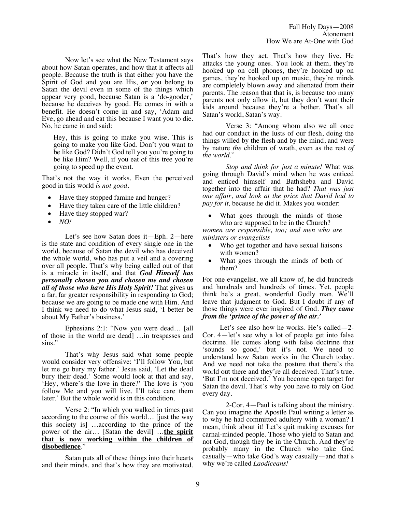Now let's see what the New Testament says about how Satan operates, and how that it affects all people. Because the truth is that either you have the Spirit of God and you are His, *or* you belong to Satan the devil even in some of the things which appear very good, because Satan is a 'do-gooder,' because he deceives by good. He comes in with a benefit. He doesn't come in and say, 'Adam and Eve, go ahead and eat this because I want you to die. No, he came in and said:

Hey, this is going to make you wise. This is going to make you like God. Don't you want to be like God? Didn't God tell you you're going to be like Him? Well, if you eat of this tree you're going to speed up the event.

That's not the way it works. Even the perceived good in this world *is not good*.

- Have they stopped famine and hunger?
- Have they taken care of the little children?
- Have they stopped war?
- *NO!*

Let's see how Satan does it—Eph. 2—here is the state and condition of every single one in the world, because of Satan the devil who has deceived the whole world, who has put a veil and a covering over all people. That's why being called out of that is a miracle in itself, and that *God Himself has personally chosen you and chosen me and chosen all of those who have His Holy Spirit!* That gives us a far, far greater responsibility in responding to God; because we are going to be made one with Him. And I think we need to do what Jesus said, 'I better be about My Father's business.'

Ephesians 2:1: "Now you were dead… [all of those in the world are dead] …in trespasses and sins."

That's why Jesus said what some people would consider very offensive: 'I'll follow You, but let me go bury my father.' Jesus said, 'Let the dead bury their dead.' Some would look at that and say, 'Hey, where's the love in there?' The love is 'you follow Me and you will live. I'll take care them later.' But the whole world is in this condition.

Verse 2: "In which you walked in times past according to the course of this world… [just the way this society is] …according to the prince of the power of the air… [Satan the devil] …**the spirit that is now working within the children of disobedience**."

Satan puts all of these things into their hearts and their minds, and that's how they are motivated. That's how they act. That's how they live. He attacks the young ones. You look at them, they're hooked up on cell phones, they're hooked up on games, they're hooked up on music, they're minds are completely blown away and alienated from their parents. The reason that that is, is because too many parents not only allow it, but they don't want their kids around because they're a bother. That's all Satan's world, Satan's way.

Verse 3: "Among whom also we all once had our conduct in the lusts of our flesh, doing the things willed by the flesh and by the mind, and were by nature *the* children of wrath, even as the rest *of the world*."

*Stop and think for just a minute!* What was going through David's mind when he was enticed and enticed himself and Bathsheba and David together into the affair that he had? *That was just one affair, and look at the price that David had to pay for it,* because he did it. Makes you wonder:

• What goes through the minds of those who are supposed to be in the Church?

*women are responsible, too; and men who are ministers or evangelists* 

- Who get together and have sexual liaisons with women?
- What goes through the minds of both of them?

For one evangelist, we all know of, he did hundreds and hundreds and hundreds of times. Yet, people think he's a great, wonderful Godly man. We'll leave that judgment to God. But I doubt if any of those things were ever inspired of God. *They came from the 'prince of the power of the air.'*

Let's see also how he works. He's called—2- Cor. 4—let's see why a lot of people get into false doctrine. He comes along with false doctrine that 'sounds so good,' but it's not. We need to understand how Satan works in the Church today. And we need not take the posture that there's the world out there and they're all deceived. That's true. 'But I'm not deceived.' You become open target for Satan the devil. That's why you have to rely on God every day.

2-Cor. 4—Paul is talking about the ministry. Can you imagine the Apostle Paul writing a letter as to why he had committed adultery with a woman? I mean, think about it! Let's quit making excuses for carnal-minded people. Those who yield to Satan and not God, though they be in the Church. And they're probably many in the Church who take God casually—who take God's way casually—and that's why we're called *Laodiceans!*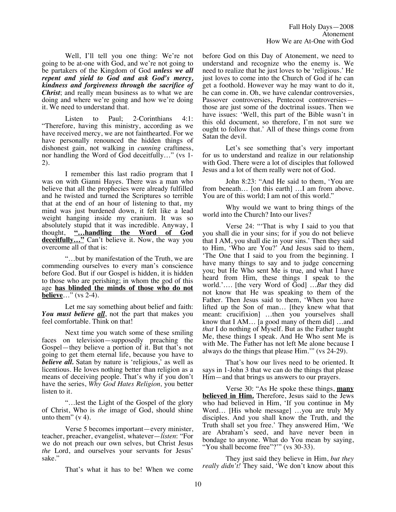Well, I'll tell you one thing: We're not going to be at-one with God, and we're not going to be partakers of the Kingdom of God *unless we all repent and yield to God and ask God's mercy, kindness and forgiveness through the sacrifice of Christ*; and really mean business as to what we are doing and where we're going and how we're doing it. We need to understand that.

Listen to Paul; 2-Corinthians 4:1: "Therefore, having this ministry, according as we have received mercy, we are not fainthearted. For we have personally renounced the hidden things of dishonest gain, not walking in *cunning* craftiness, nor handling the Word of God deceitfully…" (vs 1- 2).

I remember this last radio program that I was on with Gianni Hayes. There was a man who believe that all the prophecies were already fulfilled and he twisted and turned the Scriptures so terrible that at the end of an hour of listening to that, my mind was just burdened down, it felt like a lead weight hanging inside my cranium. It was so absolutely stupid that it was incredible. Anyway, I thought, "...handling the Word of God **"…handling the Word of God deceitfully...**" Can't believe it. Now, the way you overcome all of that is:

"…but by manifestation of the Truth, we are commending ourselves to every man's conscience before God. But if our Gospel is hidden, it is hidden to those who are perishing; in whom the god of this age **has blinded the minds of those who do not believe**…" (vs 2-4).

Let me say something about belief and faith: *You must believe all*, not the part that makes you feel comfortable. Think on that!

Next time you watch some of these smiling faces on television—supposedly preaching the Gospel—they believe a portion of it. But that's not going to get them eternal life, because you have to *believe all.* Satan by nature is 'religious,' as well as licentious. He loves nothing better than religion as a means of deceiving people. That's why if you don't have the series, *Why God Hates Religion,* you better listen to it.

"…lest the Light of the Gospel of the glory of Christ, Who is *the* image of God, should shine unto them"  $(v 4)$ .

Verse 5 becomes important—every minister, teacher, preacher, evangelist, whatever—*listen*: "For we do not preach our own selves, but Christ Jesus *the* Lord, and ourselves your servants for Jesus' sake."

That's what it has to be! When we come

before God on this Day of Atonement, we need to understand and recognize who the enemy is. We need to realize that he just loves to be 'religious.' He just loves to come into the Church of God if he can get a foothold. However way he may want to do it, he can come in. Oh, we have calendar controversies, Passover controversies, Pentecost controversies those are just some of the doctrinal issues. Then we have issues: 'Well, this part of the Bible wasn't in this old document, so therefore, I'm not sure we ought to follow that.' All of these things come from Satan the devil.

Let's see something that's very important for us to understand and realize in our relationship with God. There were a lot of disciples that followed Jesus and a lot of them really were not of God.

John 8:23: "And He said to them, 'You are from beneath… [on this earth] …I am from above. You are of this world; I am not of this world."

Why would we want to bring things of the world into the Church? Into our lives?

Verse 24: "'That is why I said to you that you shall die in your sins; for if you do not believe that I AM, you shall die in your sins.' Then they said to Him, 'Who are You?' And Jesus said to them, 'The One that I said to you from the beginning. I have many things to say and to judge concerning you; but He Who sent Me is true, and what I have heard from Him, these things I speak to the world.'…. [the very Word of God] …*But* they did not know that He was speaking to them of the Father. Then Jesus said to them, 'When you have lifted up the Son of man… [they knew what that meant: crucifixion] …then you yourselves shall know that I AM… [a good many of them did] …and *that* I do nothing of Myself. But as the Father taught Me, these things I speak. And He Who sent Me is with Me. The Father has not left Me alone because I always do the things that please Him.'" (vs 24-29).

That's how our lives need to be oriented. It says in 1-John 3 that we can do the things that please Him—and that brings us answers to our prayers.

Verse 30: "As He spoke these things, **many believed in Him.** Therefore, Jesus said to the Jews who had believed in Him, 'If you continue in My Word... [His whole message] ...you are truly My disciples. And you shall know the Truth, and the Truth shall set you free.' They answered Him, 'We are Abraham's seed, and have never been in bondage to anyone. What do You mean by saying, "You shall become free"?"" (vs 30-33).

They just said they believe in Him, *but they really didn't!* They said, 'We don't know about this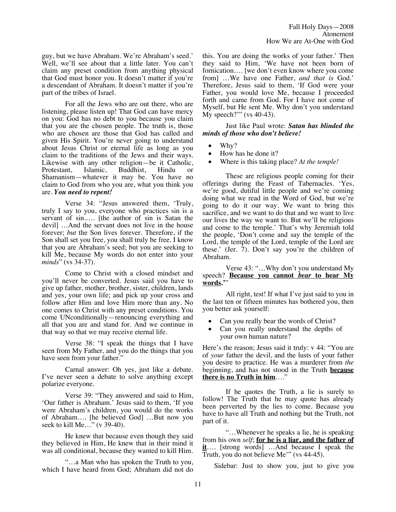guy, but we have Abraham. We're Abraham's seed.' Well, we'll see about that a little later. You can't claim any preset condition from anything physical that God must honor you. It doesn't matter if you're a descendant of Abraham. It doesn't matter if you're part of the tribes of Israel.

For all the Jews who are out there, who are listening, please listen up! That God can have mercy on you: God has no debt to you because you claim that you are the chosen people. The truth is, those who are chosen are those that God has called and given His Spirit. You're never going to understand about Jesus Christ or eternal life as long as you claim to the traditions of the Jews and their ways. Likewise with any other religion—be it Catholic,<br>Protestant, Islamic, Buddhist, Hindu or Buddhist, Hindu or Shamanism—whatever it may be. You have no claim to God from who you are, what you think you are. *You need to repent!*

Verse 34: "Jesus answered them, 'Truly, truly I say to you, everyone who practices sin is a servant of sin..... [the author of sin is Satan the devil] …And the servant does not live in the house forever; *but* the Son lives forever. Therefore, if the Son shall set you free, you shall truly be free. I know that you are Abraham's seed; but you are seeking to kill Me, because My words do not enter into your *minds*" (vs 34-37).

Come to Christ with a closed mindset and you'll never be converted. Jesus said you have to give up father, mother, brother, sister, children, lands and yes, your own life; and pick up your cross and follow after Him and love Him more than any. No one comes to Christ with any preset conditions. You come UNconditionally—renouncing everything and all that you are and stand for. And we continue in that way so that we may receive eternal life.

Verse 38: "I speak the things that I have seen from My Father, and you do the things that you have seen from your father."

Carnal answer: Oh yes, just like a debate. I've never seen a debate to solve anything except polarize everyone.

Verse 39: "They answered and said to Him, 'Our father is Abraham.' Jesus said to them, 'If you were Abraham's children, you would do the works of Abraham…. [he believed God] …But now you seek to kill Me…" (v 39-40).

He knew that because even though they said they believed in Him, He knew that in their mind it was all conditional, because they wanted to kill Him.

"…a Man who has spoken the Truth to you, which I have heard from God; Abraham did not do this. You are doing the works of your father.' Then they said to Him, 'We have not been born of fornication…. [we don't even know where you come from] …We have one Father, *and that is* God.' Therefore, Jesus said to them, 'If God were your Father, you would love Me, because I proceeded forth and came from God. For I have not come of Myself, but He sent Me. Why don't you understand My speech?'" (vs 40-43).

Just like Paul wrote: *Satan has blinded the minds of those who don't believe!*

- Why?
- How has he done it?
- Where is this taking place? *At the temple!*

These are religious people coming for their offerings during the Feast of Tabernacles. 'Yes, we're good, dutiful little people and we're coming doing what we read in the Word of God, but we're going to do it our way. We want to bring this sacrifice, and we want to do that and we want to live our lives the way we want to. But we'll be religious and come to the temple.' That's why Jeremiah told the people, 'Don't come and say the temple of the Lord, the temple of the Lord, temple of the Lord are these.' (Jer. 7). Don't say you're the children of Abraham.

Verse 43: "…Why don't you understand My speech? **Because you cannot** *bear* **to hear My words.'**"

All right, test! If what I've just said to you in the last ten or fifteen minutes has bothered you, then you better ask yourself:

- Can you really bear the words of Christ?
- Can you really understand the depths of your own human nature?

Here's the reason; Jesus said it truly: v 44: "You are of *your* father the devil, and the lusts of your father you desire to practice. He was a murderer from *the* beginning, and has not stood in the Truth **because there is no Truth in him**…."

If he quotes the Truth, a lie is surely to follow! The Truth that he may quote has already been perverted by the lies to come. Because you have to have all Truth and nothing but the Truth, not part of it.

"…Whenever he speaks a lie, he is speaking from his own *self*; **for he is a liar, and the father of it**…. [strong words] …And because I speak the Truth, you do not believe Me'" (vs 44-45).

Sidebar: Just to show you, just to give you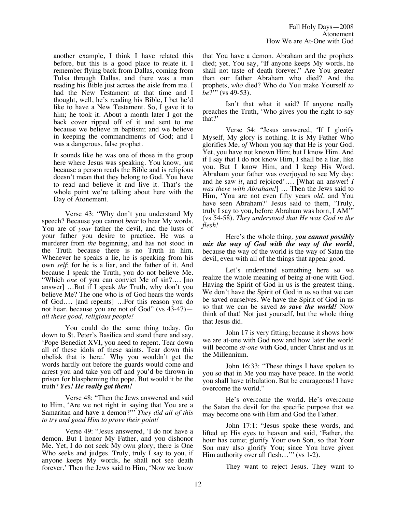another example, I think I have related this before, but this is a good place to relate it. I remember flying back from Dallas, coming from Tulsa through Dallas, and there was a man reading his Bible just across the aisle from me. I had the New Testament at that time and I thought, well, he's reading his Bible, I bet he'd like to have a New Testament. So, I gave it to him; he took it. About a month later I got the back cover ripped off of it and sent to me because we believe in baptism; and we believe in keeping the commandments of God; and I was a dangerous, false prophet.

It sounds like he was one of those in the group here where Jesus was speaking. You know, just because a person reads the Bible and is religious doesn't mean that they belong to God. You have to read and believe it and live it. That's the whole point we're talking about here with the Day of Atonement.

Verse 43: "Why don't you understand My speech? Because you cannot *bear* to hear My words. You are of *your* father the devil, and the lusts of your father you desire to practice. He was a murderer from *the* beginning, and has not stood in the Truth because there is no Truth in him. Whenever he speaks a lie, he is speaking from his own *self*; for he is a liar, and the father of it. And because I speak the Truth, you do not believe Me. "Which *one* of you can convict Me of sin?…. [no answer] …But if I speak *the* Truth, why don't you believe Me? The one who is of God hears the words of God…. [and repents] …For this reason you do not hear, because you are not of God" (vs 43-47) *all these good, religious people!*

You could do the same thing today. Go down to St. Peter's Basilica and stand there and say, 'Pope Benedict XVI, you need to repent. Tear down all of these idols of these saints. Tear down this obelisk that is here.' Why you wouldn't get the words hardly out before the guards would come and arrest you and take you off and you'd be thrown in prison for blaspheming the pope. But would it be the truth? *Yes! He really got them!*

Verse 48: "Then the Jews answered and said to Him, 'Are we not right in saying that You are a Samaritan and have a demon?'" *They did all of this to try and goad Him to prove their point!*

Verse 49: "Jesus answered, 'I do not have a demon. But I honor My Father, and you dishonor Me. Yet, I do not seek My own glory; there is One Who seeks and judges. Truly, truly I say to you, if anyone keeps My words, he shall not see death forever.' Then the Jews said to Him, 'Now we know

that You have a demon. Abraham and the prophets died; yet, You say, "If anyone keeps My words, he shall not taste of death forever." Are You greater than our father Abraham who died? And the prophets, *who* died? Who do You make Yourself *to be*?'" (vs 49-53).

Isn't that what it said? If anyone really preaches the Truth, 'Who gives you the right to say that?'

Verse 54: "Jesus answered, 'If I glorify Myself, My glory is nothing. It is My Father Who glorifies Me, *of* Whom you say that He is your God. Yet, you have not known Him; but I know Him. And if I say that I do not know Him, I shall be a liar, like you. But I know Him, and I keep His Word. Abraham your father was overjoyed to see My day; and he saw *it*, and rejoiced'…. [What an answer! *I was there with Abraham!*] … Then the Jews said to Him, 'You are not even fifty years *old*, and You have seen Abraham?' Jesus said to them, 'Truly, truly I say to you, before Abraham was born, I AM'" (vs 54-58). *They understood that He was God in the flesh!* 

Here's the whole thing, *you cannot possibly mix the way of God with the way of the world*, because the way of the world is the way of Satan the devil, even with all of the things that appear good.

Let's understand something here so we realize the whole meaning of being at-one with God. Having the Spirit of God in us is the greatest thing. We don't have the Spirit of God in us so that we can be saved ourselves. We have the Spirit of God in us so that we can be saved *to save the world!* Now think of that! Not just yourself, but the whole thing that Jesus did.

John 17 is very fitting; because it shows how we are at-one with God now and how later the world will become *at-one* with God, under Christ and us in the Millennium.

John 16:33: "These things I have spoken to you so that in Me you may have peace. In the world you shall have tribulation. But be courageous! I have overcome the world."

He's overcome the world. He's overcome the Satan the devil for the specific purpose that we may become one with Him and God the Father.

John 17:1: "Jesus spoke these words, and lifted up His eyes to heaven and said, 'Father, the hour has come; glorify Your own Son, so that Your Son may also glorify You; since You have given Him authority over all flesh..." (vs 1-2).

They want to reject Jesus. They want to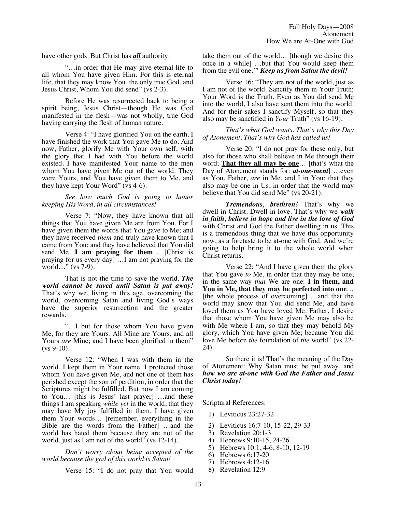have other gods. But Christ has *all* authority.

"…in order that He may give eternal life to all whom You have given Him. For this is eternal life, that they may know You, the only true God, and Jesus Christ, Whom You did send" (vs 2-3).

Before He was resurrected back to being a spirit being, Jesus Christ—though He was God manifested in the flesh—was not wholly, true God having carrying the flesh of human nature.

Verse 4: "I have glorified You on the earth. I have finished the work that You gave Me to do. And now, Father, glorify Me with Your own self, with the glory that I had with You before the world existed. I have manifested Your name to the men whom You have given Me out of the world. They were Yours, and You have given them to Me, and they have kept Your Word" (vs 4-6).

*See how much God is going to honor keeping His Word, in all circumstances!*

Verse 7: "Now, they have known that all things that You have given Me are from You. For I have given them the words that You gave to Me; and they have received *them* and truly have known that I came from You; and they have believed that You did send Me. **I am praying for them**… [Christ is praying for us every day] …I am not praying for the world…" (vs 7-9).

That is not the time to save the world. *The world cannot be saved until Satan is put away!* That's why we, living in this age, overcoming the world, overcoming Satan and living God's ways have the superior resurrection and the greater rewards.

"…I but for those whom You have given Me, for they are Yours. All Mine are Yours, and all Yours *are* Mine; and I have been glorified in them" (vs 9-10).

Verse 12: "When I was with them in the world, I kept them in Your name. I protected those whom You have given Me, and not one of them has perished except the son of perdition, in order that the Scriptures might be fulfilled. But now I am coming to You… [this is Jesus' last prayer] …and these things I am speaking *while yet* in the world, that they may have My joy fulfilled in them. I have given them Your words… [remember, everything in the Bible are the words from the Father] …and the world has hated them because they are not of the world, just as I am not of the world" (vs 12-14).

*Don't worry about being accepted of the world because the god of this world is Satan!*

Verse 15: "I do not pray that You would

take them out of the world… [though we desire this once in a while] …but that You would keep them from the evil one.'" *Keep us from Satan the devil!*

Verse 16: "They are not of the world, just as I am not of the world. Sanctify them in Your Truth; Your Word is the Truth. Even as You did send Me into the world, I also have sent them into the world. And for their sakes I sanctify Myself, so that they also may be sanctified in *Your* Truth" (vs 16-19).

*That's what God wants. That's why this Day of Atonement. That's why God has called us!*

Verse 20: "I do not pray for these only, but also for those who shall believe in Me through their word; **That they all may be one**… [that's what the Day of Atonement stands for: *at-one-ment* ... even as You, Father, *are* in Me, and I in You; that they also may be one in Us, in order that the world may believe that You did send Me" (vs 20-21).

*Tremendous, brethren!* That's why we dwell in Christ. Dwell in love. That's why we *walk in faith, believe in hope and live in the love of God*  with Christ and God the Father dwelling in us. This is a tremendous thing that we have this opportunity now, as a foretaste to be at-one with God. And we're going to help bring it to the whole world when Christ returns.

Verse 22: "And I have given them the glory that You gave *to* Me, in order that they may be one, in the same way *that* We are one: **I in them, and You in Me, that they may be perfected into one**… [the whole process of overcoming] …and that the world may know that You did send Me, and have loved them as You have loved Me. Father, I desire that those whom You have given Me may also be with Me where I am, so that they may behold My glory, which You have given Me; because You did love Me before *the* foundation of *the* world" (vs 22- 24).

So there it is! That's the meaning of the Day of Atonement: Why Satan must be put away, and *how we are at-one with God the Father and Jesus Christ today!*

Scriptural References:

- 1) Leviticus 23:27-32
- 2) Leviticus 16:7-10, 15-22, 29-33<br>3) Revelation 20:1-3
- 
- 3) Revelation 20:1-3<br>4) Hebrews 9:10-15. 4) Hebrews 9:10-15, 24-26
- 5) Hebrews 10:1, 4-6, 8-10, 12-19
- 6) Hebrews 6:17-20
- 7) Hebrews 4:12-16
- 8) Revelation 12:9